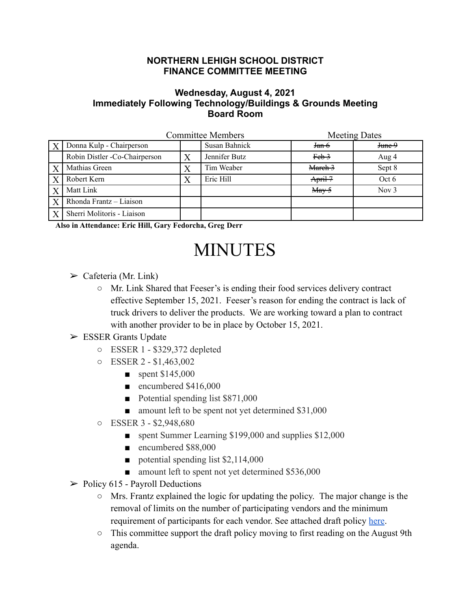## **NORTHERN LEHIGH SCHOOL DISTRICT FINANCE COMMITTEE MEETING**

## **Wednesday, August 4, 2021 Immediately Following Technology/Buildings & Grounds Meeting Board Room**

|                  | <b>Committee Members</b>      |   |               | <b>Meeting Dates</b>                |         |
|------------------|-------------------------------|---|---------------|-------------------------------------|---------|
| $\boldsymbol{X}$ | Donna Kulp - Chairperson      |   | Susan Bahnick | <del>Jan 6</del>                    | June 9  |
|                  | Robin Distler -Co-Chairperson | Χ | Jennifer Butz | $Feb-3$                             | Aug 4   |
| X                | Mathias Green                 | Χ | Tim Weaber    | March 3                             | Sept 8  |
| $\overline{X}$   | Robert Kern                   |   | Eric Hill     | April 7                             | Oct 6   |
| X                | Matt Link                     |   |               | $\frac{\text{May-5}}{\text{May-5}}$ | Nov $3$ |
| X                | Rhonda Frantz - Liaison       |   |               |                                     |         |
|                  | Sherri Molitoris - Liaison    |   |               |                                     |         |

**Also in Attendance: Eric Hill, Gary Fedorcha, Greg Derr**

## MINUTES

- $\triangleright$  Cafeteria (Mr. Link)
	- Mr. Link Shared that Feeser's is ending their food services delivery contract effective September 15, 2021. Feeser's reason for ending the contract is lack of truck drivers to deliver the products. We are working toward a plan to contract with another provider to be in place by October 15, 2021.

## $\triangleright$  ESSER Grants Update

- ESSER 1 \$329,372 depleted
- ESSER 2 \$1,463,002
	- $\blacksquare$  spent \$145,000
	- encumbered \$416,000
	- Potential spending list \$871,000
	- amount left to be spent not yet determined \$31,000
- ESSER 3 \$2,948,680
	- spent Summer Learning \$199,000 and supplies \$12,000
	- encumbered \$88,000
	- potential spending list \$2,114,000
	- amount left to spent not yet determined \$536,000
- $\triangleright$  Policy 615 Payroll Deductions
	- Mrs. Frantz explained the logic for updating the policy. The major change is the removal of limits on the number of participating vendors and the minimum requirement of participants for each vendor. See attached draft policy [here](https://drive.google.com/file/d/1qiGPfVAoPonhlCeDAtEI6-Ok61MQ5tT9/view?usp=sharing).
	- This committee support the draft policy moving to first reading on the August 9th agenda.